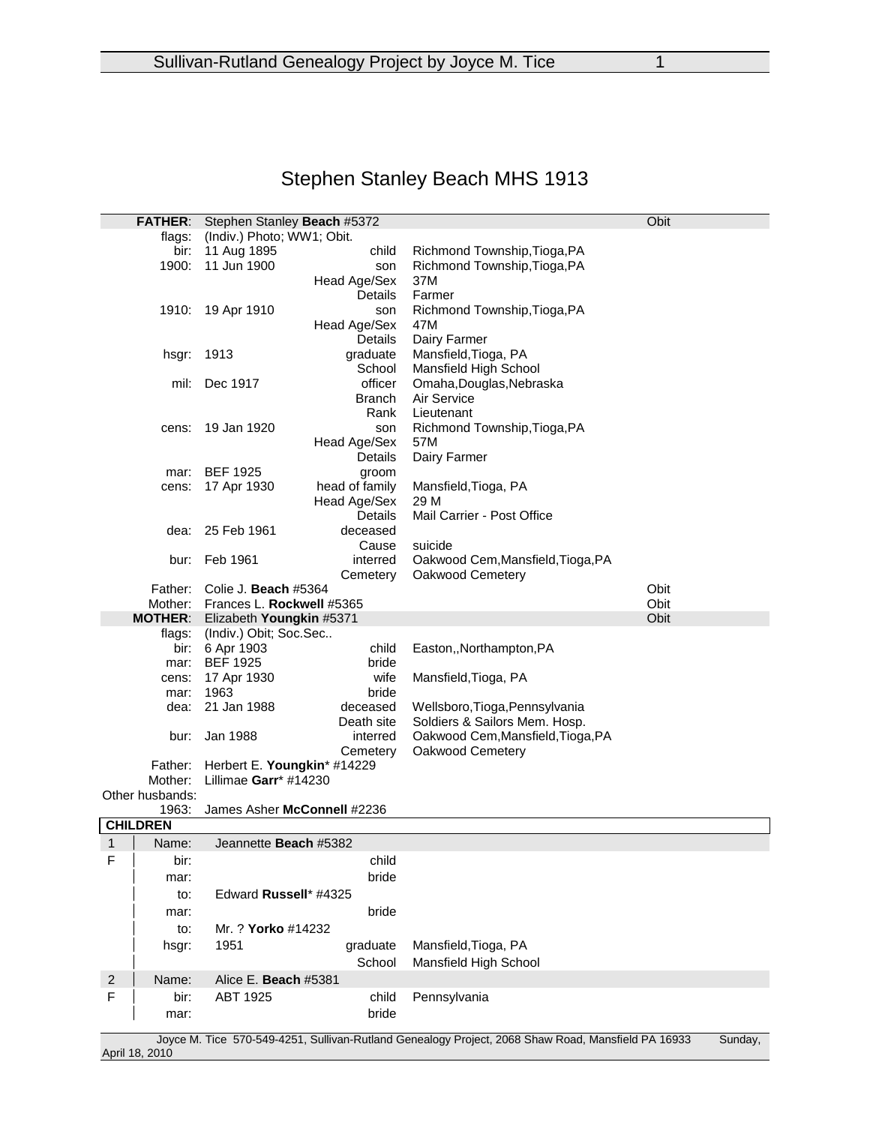# Stephen Stanley Beach MHS 1913

|                                                                                                                                 | Obit<br>Stephen Stanley Beach #5372<br><b>FATHER:</b> |                              |                |                                   |      |  |  |
|---------------------------------------------------------------------------------------------------------------------------------|-------------------------------------------------------|------------------------------|----------------|-----------------------------------|------|--|--|
|                                                                                                                                 | flags:                                                | (Indiv.) Photo; WW1; Obit.   |                |                                   |      |  |  |
|                                                                                                                                 | bir:                                                  | 11 Aug 1895                  | child          | Richmond Township, Tioga, PA      |      |  |  |
|                                                                                                                                 | 1900:                                                 | 11 Jun 1900                  | son            | Richmond Township, Tioga, PA      |      |  |  |
|                                                                                                                                 |                                                       |                              | Head Age/Sex   | 37M                               |      |  |  |
|                                                                                                                                 |                                                       |                              | Details        | Farmer                            |      |  |  |
|                                                                                                                                 | 1910:                                                 | 19 Apr 1910                  | son            | Richmond Township, Tioga, PA      |      |  |  |
|                                                                                                                                 |                                                       |                              | Head Age/Sex   | 47M                               |      |  |  |
|                                                                                                                                 |                                                       |                              | Details        | Dairy Farmer                      |      |  |  |
|                                                                                                                                 | hsgr:                                                 | 1913                         | graduate       | Mansfield, Tioga, PA              |      |  |  |
|                                                                                                                                 |                                                       |                              | School         | Mansfield High School             |      |  |  |
|                                                                                                                                 | mil:                                                  | Dec 1917                     | officer        |                                   |      |  |  |
|                                                                                                                                 |                                                       |                              |                | Omaha, Douglas, Nebraska          |      |  |  |
|                                                                                                                                 |                                                       |                              | <b>Branch</b>  | Air Service                       |      |  |  |
|                                                                                                                                 |                                                       |                              | Rank           | Lieutenant                        |      |  |  |
|                                                                                                                                 | cens:                                                 | 19 Jan 1920                  | son            | Richmond Township, Tioga, PA      |      |  |  |
|                                                                                                                                 |                                                       |                              | Head Age/Sex   | 57M                               |      |  |  |
|                                                                                                                                 |                                                       |                              | Details        | Dairy Farmer                      |      |  |  |
|                                                                                                                                 | mar:                                                  | <b>BEF 1925</b>              | groom          |                                   |      |  |  |
|                                                                                                                                 | cens:                                                 | 17 Apr 1930                  | head of family | Mansfield, Tioga, PA              |      |  |  |
|                                                                                                                                 |                                                       |                              | Head Age/Sex   | 29 M                              |      |  |  |
|                                                                                                                                 |                                                       |                              | Details        | Mail Carrier - Post Office        |      |  |  |
|                                                                                                                                 | dea:                                                  | 25 Feb 1961                  | deceased       |                                   |      |  |  |
|                                                                                                                                 |                                                       |                              | Cause          | suicide                           |      |  |  |
|                                                                                                                                 | bur:                                                  | Feb 1961                     | interred       | Oakwood Cem, Mansfield, Tioga, PA |      |  |  |
|                                                                                                                                 |                                                       |                              | Cemetery       | Oakwood Cemetery                  |      |  |  |
| Father:                                                                                                                         |                                                       | Colie J. Beach #5364         |                |                                   | Obit |  |  |
| Mother:                                                                                                                         |                                                       | Frances L. Rockwell #5365    |                |                                   | Obit |  |  |
|                                                                                                                                 | <b>MOTHER:</b>                                        | Elizabeth Youngkin #5371     |                |                                   | Obit |  |  |
|                                                                                                                                 | flags:                                                | (Indiv.) Obit; Soc.Sec       |                |                                   |      |  |  |
|                                                                                                                                 | bir:                                                  | 6 Apr 1903                   | child          | Easton,, Northampton, PA          |      |  |  |
|                                                                                                                                 | mar:                                                  | <b>BEF 1925</b>              | bride          |                                   |      |  |  |
|                                                                                                                                 | cens:                                                 | 17 Apr 1930                  | wife           | Mansfield, Tioga, PA              |      |  |  |
|                                                                                                                                 | mar:                                                  | 1963                         | bride          |                                   |      |  |  |
| dea:                                                                                                                            |                                                       | 21 Jan 1988                  | deceased       | Wellsboro, Tioga, Pennsylvania    |      |  |  |
|                                                                                                                                 |                                                       |                              | Death site     | Soldiers & Sailors Mem. Hosp.     |      |  |  |
|                                                                                                                                 | bur:                                                  | Jan 1988                     | interred       | Oakwood Cem, Mansfield, Tioga, PA |      |  |  |
|                                                                                                                                 |                                                       |                              | Cemetery       | Oakwood Cemetery                  |      |  |  |
|                                                                                                                                 | Father:                                               | Herbert E. Youngkin* #14229  |                |                                   |      |  |  |
|                                                                                                                                 | Mother:                                               | Lillimae Garr* #14230        |                |                                   |      |  |  |
|                                                                                                                                 | Other husbands:                                       |                              |                |                                   |      |  |  |
|                                                                                                                                 | 1963:                                                 | James Asher McConnell #2236  |                |                                   |      |  |  |
|                                                                                                                                 | <b>CHILDREN</b>                                       |                              |                |                                   |      |  |  |
| 1                                                                                                                               | Name:                                                 | Jeannette <b>Beach</b> #5382 |                |                                   |      |  |  |
| F                                                                                                                               | bir:                                                  |                              | child          |                                   |      |  |  |
|                                                                                                                                 | mar:                                                  |                              | bride          |                                   |      |  |  |
|                                                                                                                                 | to:                                                   | Edward Russell* #4325        |                |                                   |      |  |  |
|                                                                                                                                 |                                                       |                              | bride          |                                   |      |  |  |
|                                                                                                                                 | mar:                                                  |                              |                |                                   |      |  |  |
|                                                                                                                                 | to:                                                   | Mr. ? Yorko #14232           |                |                                   |      |  |  |
|                                                                                                                                 | hsgr:                                                 | 1951                         | graduate       | Mansfield, Tioga, PA              |      |  |  |
|                                                                                                                                 |                                                       |                              | School         | Mansfield High School             |      |  |  |
| $\overline{c}$                                                                                                                  | Name:                                                 | Alice E. Beach #5381         |                |                                   |      |  |  |
| F                                                                                                                               | bir:                                                  | ABT 1925                     | child          | Pennsylvania                      |      |  |  |
|                                                                                                                                 | mar:                                                  |                              | bride          |                                   |      |  |  |
|                                                                                                                                 |                                                       |                              |                |                                   |      |  |  |
| Joyce M. Tice 570-549-4251, Sullivan-Rutland Genealogy Project, 2068 Shaw Road, Mansfield PA 16933<br>Sunday,<br>April 18, 2010 |                                                       |                              |                |                                   |      |  |  |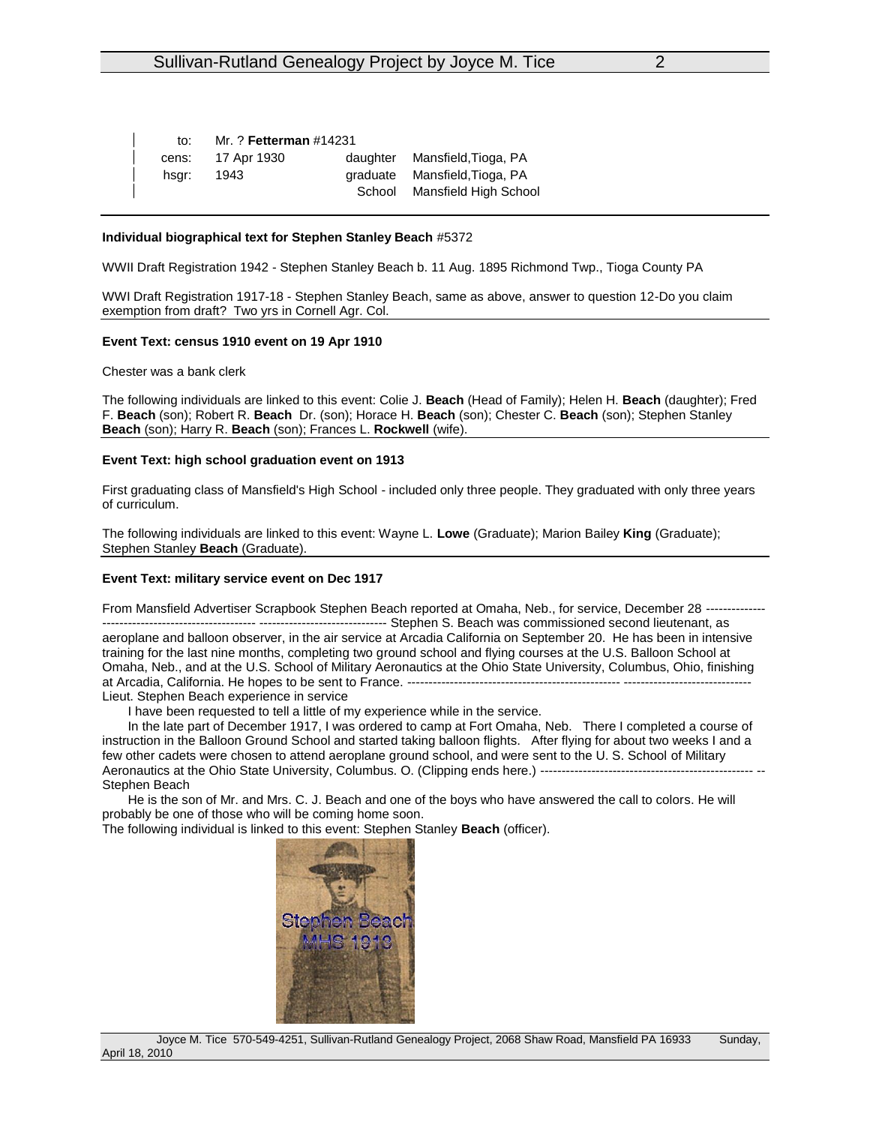| to:   | Mr. ? Fetterman #14231 |  |                               |  |  |
|-------|------------------------|--|-------------------------------|--|--|
|       | cens: 17 Apr 1930      |  | daughter Mansfield, Tioga, PA |  |  |
| hsgr: | 1943                   |  | graduate Mansfield, Tioga, PA |  |  |
|       |                        |  | School Mansfield High School  |  |  |

## **Individual biographical text for Stephen Stanley Beach** #5372

WWII Draft Registration 1942 - Stephen Stanley Beach b. 11 Aug. 1895 Richmond Twp., Tioga County PA

WWI Draft Registration 1917-18 - Stephen Stanley Beach, same as above, answer to question 12-Do you claim exemption from draft? Two yrs in Cornell Agr. Col.

#### **Event Text: census 1910 event on 19 Apr 1910**

Chester was a bank clerk

The following individuals are linked to this event: Colie J. **Beach** (Head of Family); Helen H. **Beach** (daughter); Fred F. **Beach** (son); Robert R. **Beach** Dr. (son); Horace H. **Beach** (son); Chester C. **Beach** (son); Stephen Stanley **Beach** (son); Harry R. **Beach** (son); Frances L. **Rockwell** (wife).

## **Event Text: high school graduation event on 1913**

First graduating class of Mansfield's High School - included only three people. They graduated with only three years of curriculum.

The following individuals are linked to this event: Wayne L. **Lowe** (Graduate); Marion Bailey **King** (Graduate); Stephen Stanley **Beach** (Graduate).

#### **Event Text: military service event on Dec 1917**

From Mansfield Advertiser Scrapbook Stephen Beach reported at Omaha, Neb., for service, December 28 -------------- ------------------------------------ ------------------------------ Stephen S. Beach was commissioned second lieutenant, as aeroplane and balloon observer, in the air service at Arcadia California on September 20. He has been in intensive training for the last nine months, completing two ground school and flying courses at the U.S. Balloon School at Omaha, Neb., and at the U.S. School of Military Aeronautics at the Ohio State University, Columbus, Ohio, finishing at Arcadia, California. He hopes to be sent to France. ---------Lieut. Stephen Beach experience in service

I have been requested to tell a little of my experience while in the service.

In the late part of December 1917, I was ordered to camp at Fort Omaha, Neb. There I completed a course of instruction in the Balloon Ground School and started taking balloon flights. After flying for about two weeks I and a few other cadets were chosen to attend aeroplane ground school, and were sent to the U. S. School of Military Aeronautics at the Ohio State University, Columbus. O. (Clipping ends here.) ------------------Stephen Beach

He is the son of Mr. and Mrs. C. J. Beach and one of the boys who have answered the call to colors. He will probably be one of those who will be coming home soon.

The following individual is linked to this event: Stephen Stanley **Beach** (officer).